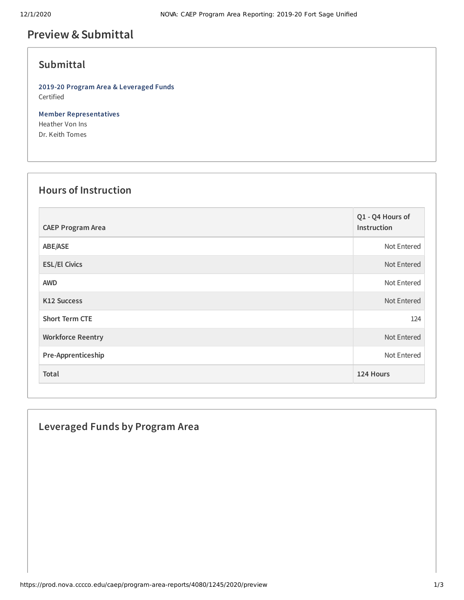## **Preview &Submittal**

### **Submittal**

**2019-20 Program Area & Leveraged Funds** Certified

**Member Representatives** Heather Von Ins Dr. Keith Tomes

### **Hours of Instruction**

| <b>CAEP Program Area</b> | Q1 - Q4 Hours of<br>Instruction |
|--------------------------|---------------------------------|
| ABE/ASE                  | Not Entered                     |
| <b>ESL/El Civics</b>     | Not Entered                     |
| <b>AWD</b>               | Not Entered                     |
| <b>K12 Success</b>       | Not Entered                     |
| <b>Short Term CTE</b>    | 124                             |
| <b>Workforce Reentry</b> | Not Entered                     |
| Pre-Apprenticeship       | Not Entered                     |
| <b>Total</b>             | 124 Hours                       |

# **Leveraged Funds by Program Area**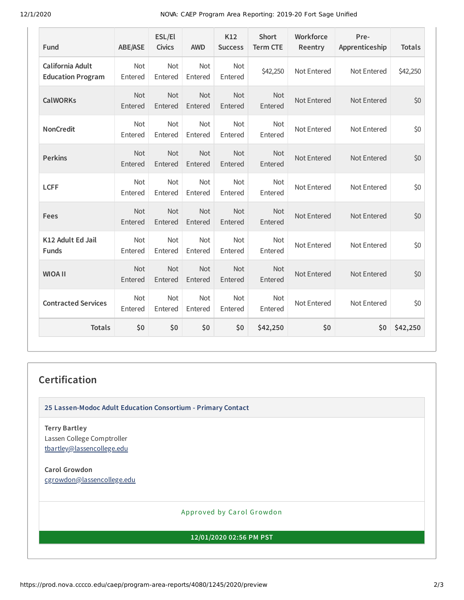12/1/2020 NOVA: CAEP Program Area Reporting: 2019-20 Fort Sage Unified

| Fund                                         | <b>ABE/ASE</b>        | ESL/El<br><b>Civics</b> | <b>AWD</b>            | K12<br><b>Success</b> | <b>Short</b><br><b>Term CTE</b> | Workforce<br>Reentry | Pre-<br>Apprenticeship | <b>Totals</b> |
|----------------------------------------------|-----------------------|-------------------------|-----------------------|-----------------------|---------------------------------|----------------------|------------------------|---------------|
| California Adult<br><b>Education Program</b> | Not<br>Entered        | Not<br>Entered          | Not<br>Entered        | Not<br>Entered        | \$42,250                        | Not Entered          | Not Entered            | \$42,250      |
| <b>CalWORKs</b>                              | <b>Not</b><br>Entered | <b>Not</b><br>Entered   | <b>Not</b><br>Entered | <b>Not</b><br>Entered | <b>Not</b><br>Entered           | Not Entered          | Not Entered            | \$0           |
| <b>NonCredit</b>                             | <b>Not</b><br>Entered | <b>Not</b><br>Entered   | Not<br>Entered        | Not<br>Entered        | Not<br>Entered                  | Not Entered          | Not Entered            | \$0           |
| <b>Perkins</b>                               | Not<br>Entered        | Not<br>Entered          | Not<br>Entered        | Not<br>Entered        | <b>Not</b><br>Entered           | Not Entered          | Not Entered            | \$0           |
| <b>LCFF</b>                                  | Not<br>Entered        | Not<br>Entered          | Not<br>Entered        | Not<br>Entered        | <b>Not</b><br>Entered           | Not Entered          | Not Entered            | \$0           |
| Fees                                         | Not<br>Entered        | Not<br>Entered          | Not<br>Entered        | Not<br>Entered        | Not<br>Entered                  | Not Entered          | Not Entered            | \$0           |
| K12 Adult Ed Jail<br><b>Funds</b>            | <b>Not</b><br>Entered | <b>Not</b><br>Entered   | <b>Not</b><br>Entered | <b>Not</b><br>Entered | <b>Not</b><br>Entered           | Not Entered          | Not Entered            | \$0           |
| <b>WIOA II</b>                               | Not<br>Entered        | Not<br>Entered          | <b>Not</b><br>Entered | Not<br>Entered        | <b>Not</b><br>Entered           | Not Entered          | Not Entered            | \$0           |
| <b>Contracted Services</b>                   | Not<br>Entered        | Not<br>Entered          | Not<br>Entered        | Not<br>Entered        | <b>Not</b><br>Entered           | Not Entered          | Not Entered            | \$0           |
| <b>Totals</b>                                | \$0                   | \$0                     | \$0                   | \$0                   | \$42,250                        | \$0                  | \$0\$                  | \$42,250      |

#### **Certification**

**25 Lassen-Modoc Adult Education Consortium - Primary Contact**

**Terry Bartley** Lassen College Comptroller [tbartley@lassencollege.edu](mailto:tbartley@lassencollege.edu)

**Carol Growdon** [cgrowdon@lassencollege.edu](mailto:cgrowdon@lassencollege.edu)

Approved by Carol Growdon

**12/01/2020 02:56 PM PST**